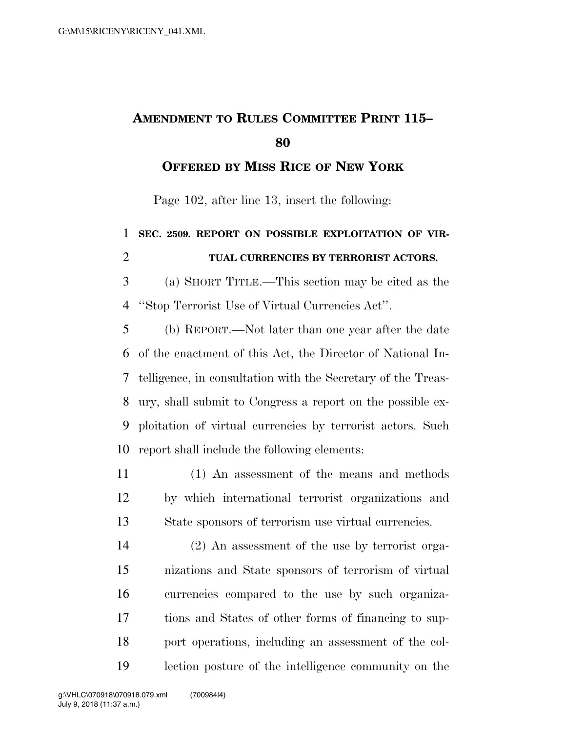## **AMENDMENT TO RULES COMMITTEE PRINT 115–**

**OFFERED BY MISS RICE OF NEW YORK**

Page 102, after line 13, insert the following:

## **SEC. 2509. REPORT ON POSSIBLE EXPLOITATION OF VIR- TUAL CURRENCIES BY TERRORIST ACTORS.**  (a) SHORT TITLE.—This section may be cited as the ''Stop Terrorist Use of Virtual Currencies Act''. (b) REPORT.—Not later than one year after the date of the enactment of this Act, the Director of National In- telligence, in consultation with the Secretary of the Treas- ury, shall submit to Congress a report on the possible ex- ploitation of virtual currencies by terrorist actors. Such report shall include the following elements:

 (1) An assessment of the means and methods by which international terrorist organizations and State sponsors of terrorism use virtual currencies.

 (2) An assessment of the use by terrorist orga- nizations and State sponsors of terrorism of virtual currencies compared to the use by such organiza- tions and States of other forms of financing to sup- port operations, including an assessment of the col-lection posture of the intelligence community on the